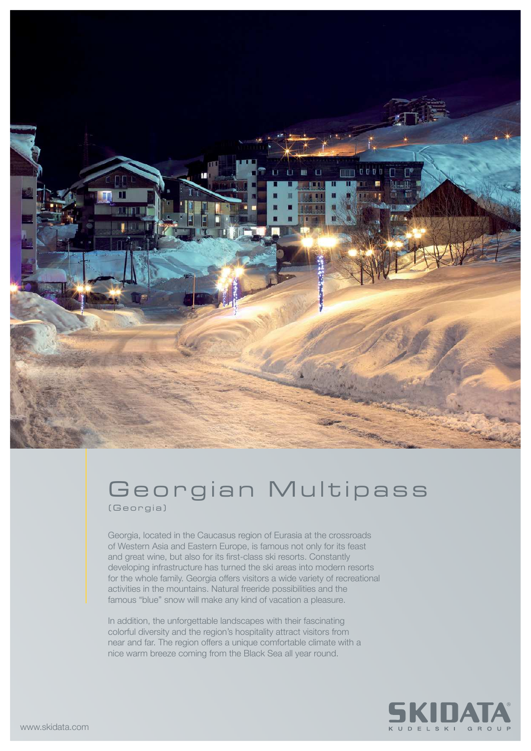

## Georgian Multipass (Georgia)

Georgia, located in the Caucasus region of Eurasia at the crossroads of Western Asia and Eastern Europe, is famous not only for its feast and great wine, but also for its first-class ski resorts. Constantly developing infrastructure has turned the ski areas into modern resorts for the whole family. Georgia offers visitors a wide variety of recreational activities in the mountains. Natural freeride possibilities and the famous "blue" snow will make any kind of vacation a pleasure.

In addition, the unforgettable landscapes with their fascinating colorful diversity and the region's hospitality attract visitors from near and far. The region offers a unique comfortable climate with a nice warm breeze coming from the Black Sea all year round.